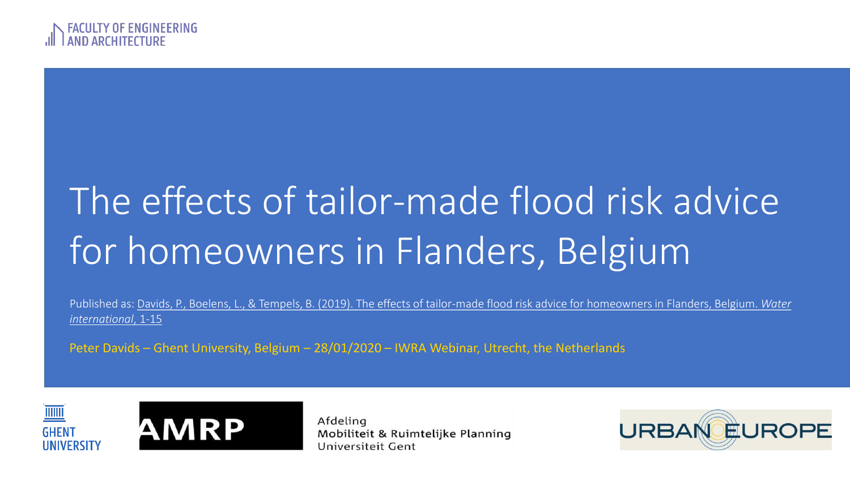# The effects of tailor-made flood risk advice for homeowners in Flanders, Belgium

Published as: Davids, P., Boelens, L., & Tempels, B. (2019). The effects of tailor-made flood risk advice for homeowners in Flanders, Belgium. *Water international*, 1-15

Peter Davids – Ghent University, Belgium – 28/01/2020 – IWRA Webinar, Utrecht, the Netherlands





Afdeling Mobiliteit & Ruimtelijke Planning Universiteit Gent

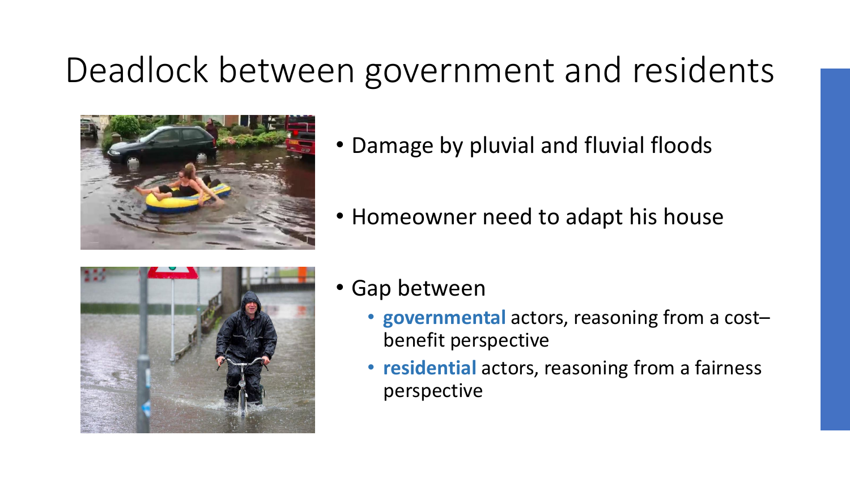#### Deadlock between government and residents



- Damage by pluvial and fluvial floods
- Homeowner need to adapt his house



- Gap between
	- **governmental** actors, reasoning from a cost– benefit perspective
	- **residential** actors, reasoning from a fairness perspective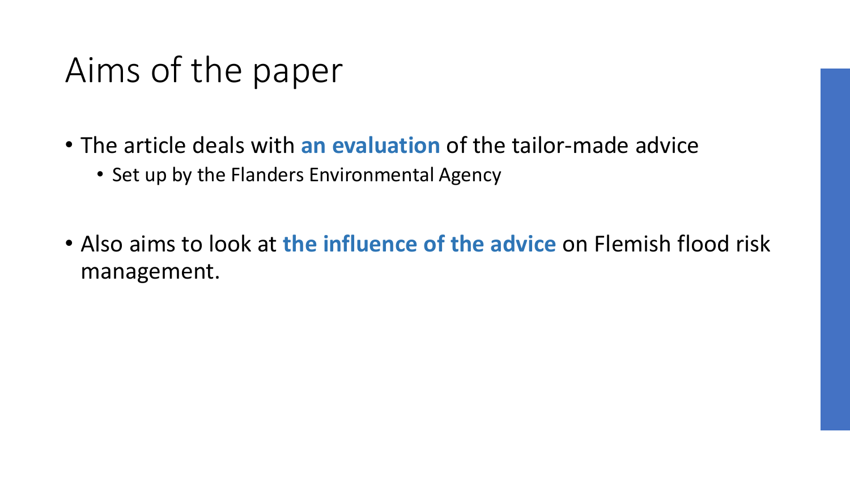#### Aims of the paper

- The article deals with **an evaluation** of the tailor-made advice
	- Set up by the Flanders Environmental Agency
- Also aims to look at **the influence of the advice** on Flemish flood risk management.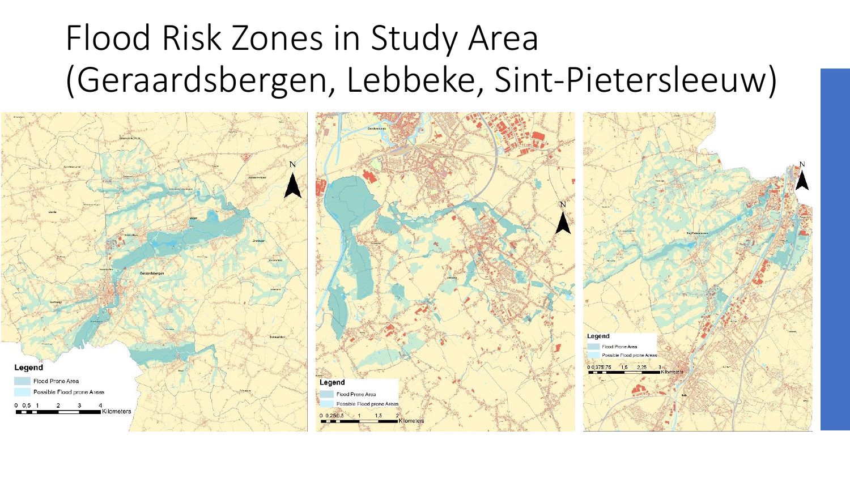### Flood Risk Zones in Study Area (Geraardsbergen, Lebbeke, Sint-Pietersleeuw)

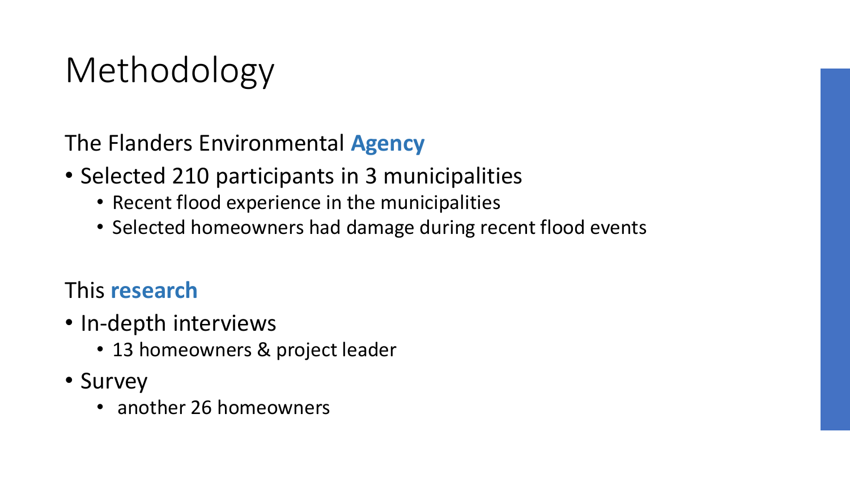## Methodology

The Flanders Environmental **Agency**

- Selected 210 participants in 3 municipalities
	- Recent flood experience in the municipalities
	- Selected homeowners had damage during recent flood events

#### This **research**

- In-depth interviews
	- 13 homeowners & project leader
- Survey
	- another 26 homeowners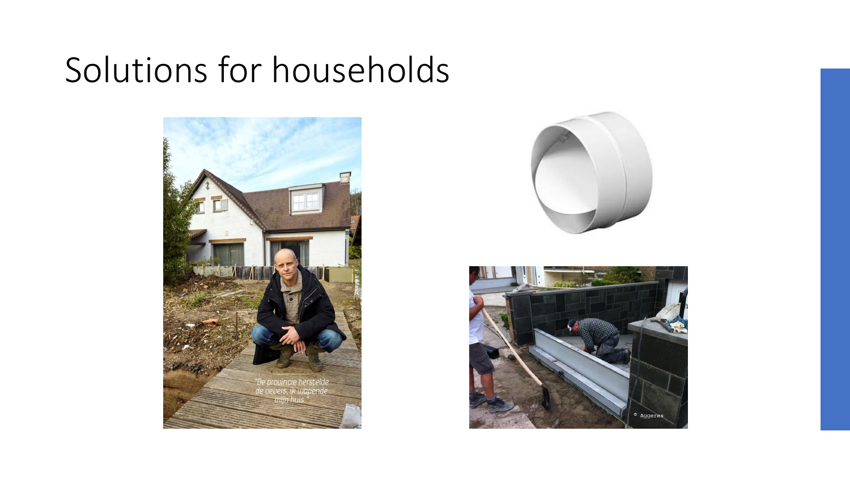#### Solutions for households





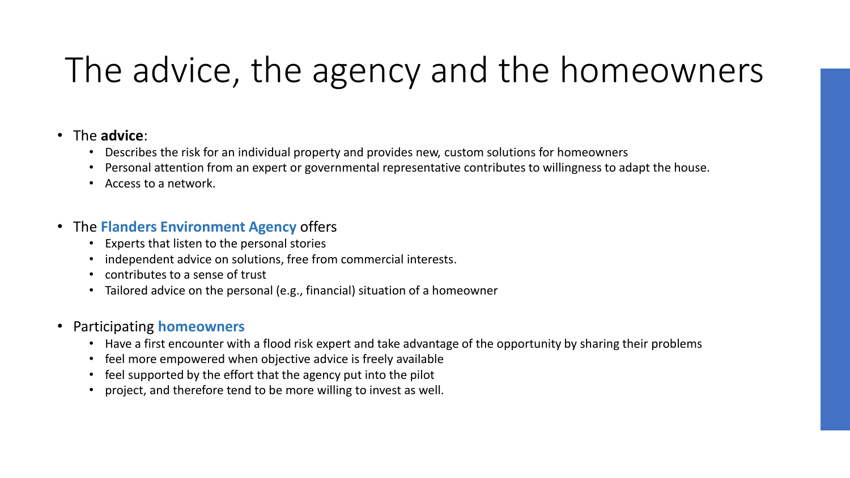### The advice, the agency and the homeowners

#### • The **advice**:

- Describes the risk for an individual property and provides new, custom solutions for homeowners
- Personal attention from an expert or governmental representative contributes to willingness to adapt the house.
- Access to a network.

#### • The **Flanders Environment Agency** offers

- Experts that listen to the personal stories
- independent advice on solutions, free from commercial interests.
- contributes to a sense of trust
- Tailored advice on the personal (e.g., financial) situation of a homeowner
- Participating **homeowners**
	- Have a first encounter with a flood risk expert and take advantage of the opportunity by sharing their problems
	- feel more empowered when objective advice is freely available
	- feel supported by the effort that the agency put into the pilot
	- project, and therefore tend to be more willing to invest as well.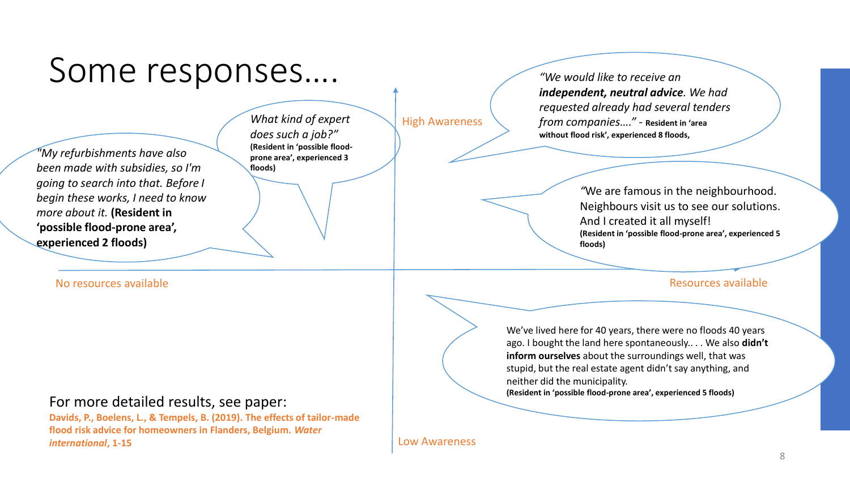#### Some responses….

*What kind of expert does such a job?"*  **(Resident in 'possible floodprone area', experienced 3** 

**floods)**

*"My refurbishments have also been made with subsidies, so I'm going to search into that. Before I begin these works, I need to know more about it.* **(Resident in 'possible flood-prone area', experienced 2 floods)**

No resources available Resources available

#### For more detailed results, see paper:

**Davids, P., Boelens, L., & Tempels, B. (2019). The effects of tailor-made flood risk advice for homeowners in Flanders, Belgium.** *Water international***, 1-15**

High Awareness

*"We would like to receive an independent, neutral advice. We had requested already had several tenders from companies…." -* **Resident in 'area without flood risk', experienced 8 floods,**

> *"*We are famous in the neighbourhood. Neighbours visit us to see our solutions. And I created it all myself! **(Resident in 'possible flood-prone area', experienced 5 floods)**

We've lived here for 40 years, there were no floods 40 years ago. I bought the land here spontaneously.. . . We also **didn't inform ourselves** about the surroundings well, that was stupid, but the real estate agent didn't say anything, and neither did the municipality. **(Resident in 'possible flood-prone area', experienced 5 floods)**

Low Awareness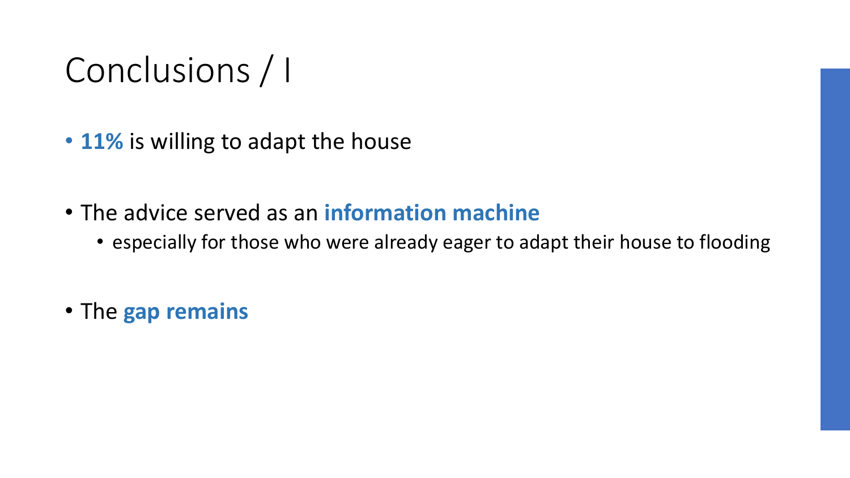### Conclusions / I

- **11%** is willing to adapt the house
- The advice served as an **information machine** 
	- especially for those who were already eager to adapt their house to flooding
- The **gap remains**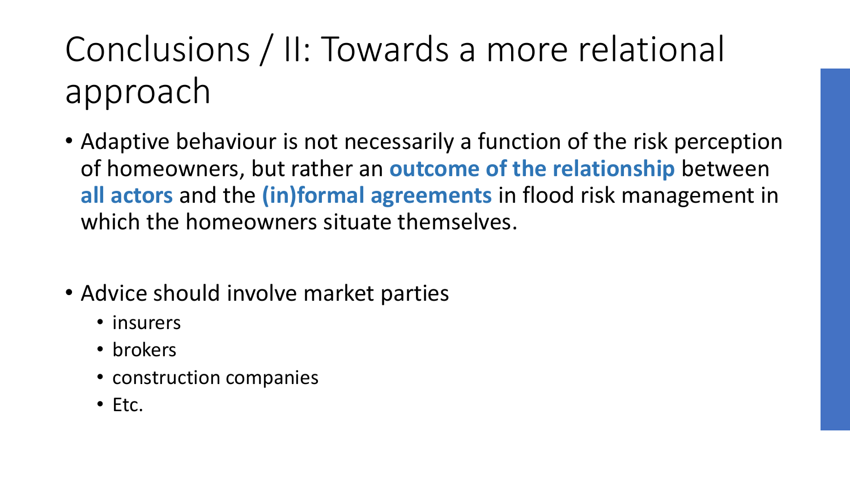Conclusions / II: Towards a more relational approach

- Adaptive behaviour is not necessarily a function of the risk perception of homeowners, but rather an **outcome of the relationship** between **all actors** and the **(in)formal agreements** in flood risk management in which the homeowners situate themselves.
- Advice should involve market parties
	- insurers
	- brokers
	- construction companies
	- Etc.